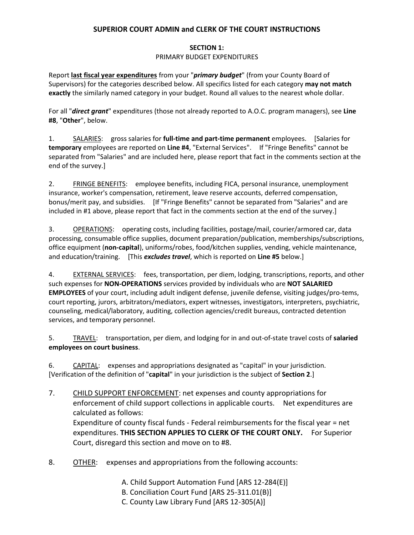## **SUPERIOR COURT ADMIN and CLERK OF THE COURT INSTRUCTIONS**

## **SECTION 1:** PRIMARY BUDGET EXPENDITURES

Report **last fiscal year expenditures** from your "*primary budget*" (from your County Board of Supervisors) for the categories described below. All specifics listed for each category **may not match exactly** the similarly named category in your budget. Round all values to the nearest whole dollar.

For all "*direct grant*" expenditures (those not already reported to A.O.C. program managers), see **Line #8**, "**Other**", below.

1. SALARIES: gross salaries for **full-time and part-time permanent** employees. [Salaries for **temporary** employees are reported on **Line #4**, "External Services". If "Fringe Benefits" cannot be separated from "Salaries" and are included here, please report that fact in the comments section at the end of the survey.]

2. **FRINGE BENEFITS:** employee benefits, including FICA, personal insurance, unemployment insurance, worker's compensation, retirement, leave reserve accounts, deferred compensation, bonus/merit pay, and subsidies. [If "Fringe Benefits" cannot be separated from "Salaries" and are included in #1 above, please report that fact in the comments section at the end of the survey.]

3. OPERATIONS: operating costs, including facilities, postage/mail, courier/armored car, data processing, consumable office supplies, document preparation/publication, memberships/subscriptions, office equipment (**non-capital**), uniforms/robes, food/kitchen supplies, vending, vehicle maintenance, and education/training. [This *excludes travel*, which is reported on **Line #5** below.]

4. EXTERNAL SERVICES: fees, transportation, per diem, lodging, transcriptions, reports, and other such expenses for **NON-OPERATIONS** services provided by individuals who are **NOT SALARIED EMPLOYEES** of your court, including adult indigent defense, juvenile defense, visiting judges/pro-tems, court reporting, jurors, arbitrators/mediators, expert witnesses, investigators, interpreters, psychiatric, counseling, medical/laboratory, auditing, collection agencies/credit bureaus, contracted detention services, and temporary personnel.

5. TRAVEL: transportation, per diem, and lodging for in and out-of-state travel costs of **salaried employees on court business**.

6. CAPITAL: expenses and appropriations designated as "capital" in your jurisdiction. [Verification of the definition of "**capital**" in your jurisdiction is the subject of **Section 2**.]

7. CHILD SUPPORT ENFORCEMENT: net expenses and county appropriations for enforcement of child support collections in applicable courts. Net expenditures are calculated as follows: Expenditure of county fiscal funds - Federal reimbursements for the fiscal year = net expenditures. **THIS SECTION APPLIES TO CLERK OF THE COURT ONLY.** For Superior

8. OTHER: expenses and appropriations from the following accounts:

Court, disregard this section and move on to #8.

- A. Child Support Automation Fund [ARS 12-284(E)]
- B. Conciliation Court Fund [ARS 25-311.01(B)]
- C. County Law Library Fund [ARS 12-305(A)]